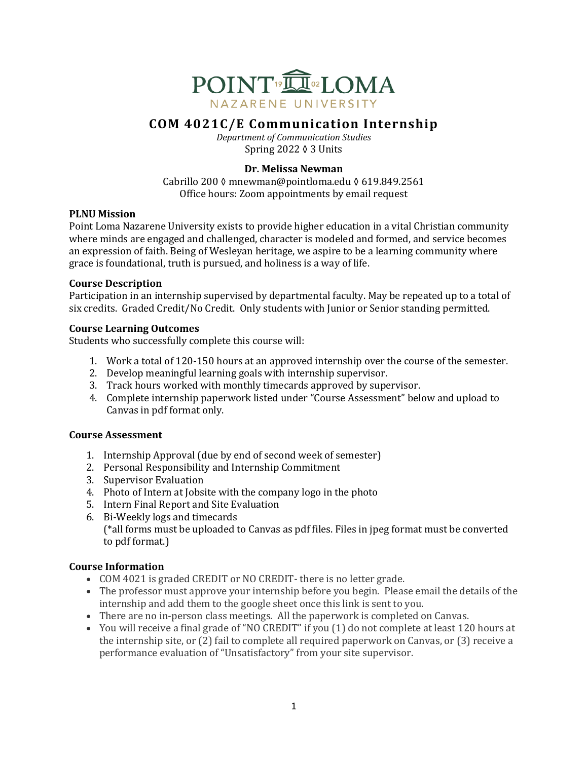

# **COM 4021C/E Communication Internship**

*Department of Communication Studies* Spring  $2022 \lozenge 3$  Units

# **Dr. Melissa Newman**

Cabrillo 200 ◊ mnewman@pointloma.edu ◊ 619.849.2561 Office hours: Zoom appointments by email request

# **PLNU** Mission

Point Loma Nazarene University exists to provide higher education in a vital Christian community where minds are engaged and challenged, character is modeled and formed, and service becomes an expression of faith. Being of Wesleyan heritage, we aspire to be a learning community where grace is foundational, truth is pursued, and holiness is a way of life.

### **Course Description**

Participation in an internship supervised by departmental faculty. May be repeated up to a total of six credits. Graded Credit/No Credit. Only students with Junior or Senior standing permitted.

# **Course Learning Outcomes**

Students who successfully complete this course will:

- 1. Work a total of 120-150 hours at an approved internship over the course of the semester.
- 2. Develop meaningful learning goals with internship supervisor.
- 3. Track hours worked with monthly timecards approved by supervisor.
- 4. Complete internship paperwork listed under "Course Assessment" below and upload to Canvas in pdf format only.

### **Course Assessment**

- 1. Internship Approval (due by end of second week of semester)
- 2. Personal Responsibility and Internship Commitment
- 3. Supervisor Evaluation
- 4. Photo of Intern at Jobsite with the company logo in the photo
- 5. Intern Final Report and Site Evaluation
- 6. Bi-Weekly logs and timecards  $(*all forms must be uploaded to Canvas as pdf files. Files in  $ipeg$  format must be converted$ to pdf format.)

# **Course Information**

- COM 4021 is graded CREDIT or NO CREDIT- there is no letter grade.
- The professor must approve your internship before you begin. Please email the details of the internship and add them to the google sheet once this link is sent to you.
- There are no in-person class meetings. All the paperwork is completed on Canvas.
- You will receive a final grade of "NO CREDIT" if you (1) do not complete at least 120 hours at the internship site, or  $(2)$  fail to complete all required paperwork on Canvas, or  $(3)$  receive a performance evaluation of "Unsatisfactory" from your site supervisor.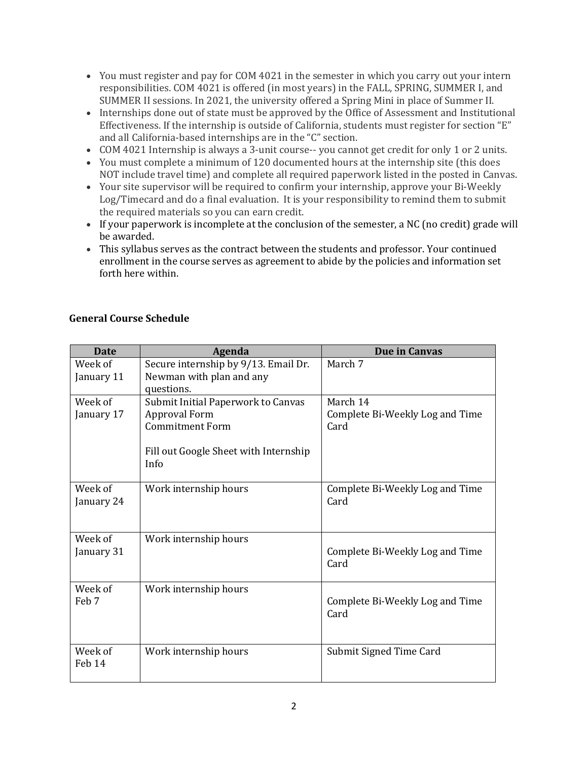- You must register and pay for COM 4021 in the semester in which you carry out your intern responsibilities. COM 4021 is offered (in most years) in the FALL, SPRING, SUMMER I, and SUMMER II sessions. In 2021, the university offered a Spring Mini in place of Summer II.
- Internships done out of state must be approved by the Office of Assessment and Institutional Effectiveness. If the internship is outside of California, students must register for section "E" and all California-based internships are in the "C" section.
- COM 4021 Internship is always a 3-unit course-- you cannot get credit for only 1 or 2 units.
- You must complete a minimum of 120 documented hours at the internship site (this does NOT include travel time) and complete all required paperwork listed in the posted in Canvas.
- Your site supervisor will be required to confirm your internship, approve your Bi-Weekly Log/Timecard and do a final evaluation. It is your responsibility to remind them to submit the required materials so you can earn credit.
- If your paperwork is incomplete at the conclusion of the semester, a NC (no credit) grade will be awarded.
- This syllabus serves as the contract between the students and professor. Your continued enrollment in the course serves as agreement to abide by the policies and information set forth here within.

| <b>Date</b> | Agenda                                | Due in Canvas                           |
|-------------|---------------------------------------|-----------------------------------------|
| Week of     | Secure internship by 9/13. Email Dr.  | March 7                                 |
| January 11  | Newman with plan and any              |                                         |
|             | questions.                            |                                         |
| Week of     | Submit Initial Paperwork to Canvas    | March 14                                |
| January 17  | <b>Approval Form</b>                  | Complete Bi-Weekly Log and Time         |
|             | <b>Commitment Form</b>                | Card                                    |
|             |                                       |                                         |
|             | Fill out Google Sheet with Internship |                                         |
|             | Info                                  |                                         |
| Week of     |                                       |                                         |
|             | Work internship hours                 | Complete Bi-Weekly Log and Time<br>Card |
| January 24  |                                       |                                         |
|             |                                       |                                         |
| Week of     | Work internship hours                 |                                         |
| January 31  |                                       | Complete Bi-Weekly Log and Time         |
|             |                                       | Card                                    |
|             |                                       |                                         |
| Week of     | Work internship hours                 |                                         |
| Feb 7       |                                       | Complete Bi-Weekly Log and Time         |
|             |                                       | Card                                    |
|             |                                       |                                         |
|             |                                       |                                         |
| Week of     | Work internship hours                 | Submit Signed Time Card                 |
| Feb 14      |                                       |                                         |
|             |                                       |                                         |

# **General Course Schedule**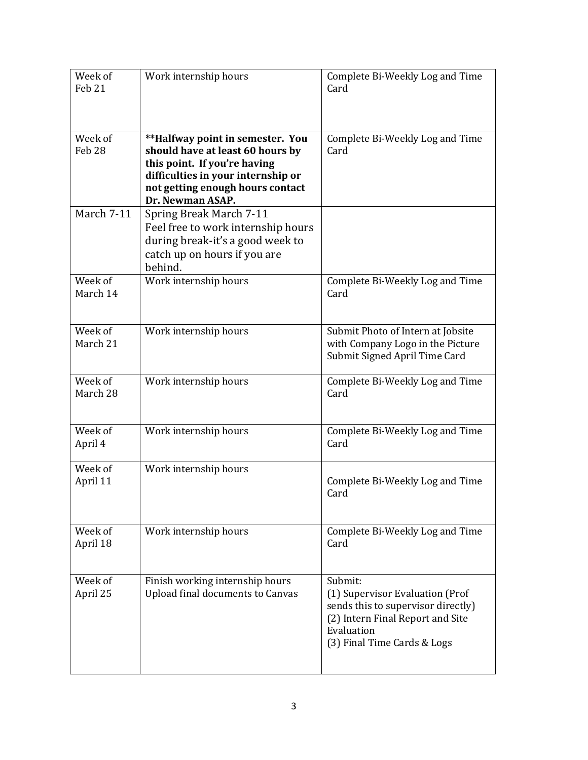| Week of           | Work internship hours                                | Complete Bi-Weekly Log and Time         |
|-------------------|------------------------------------------------------|-----------------------------------------|
| Feb 21            |                                                      | Card                                    |
|                   |                                                      |                                         |
|                   |                                                      |                                         |
| Week of           | **Halfway point in semester. You                     | Complete Bi-Weekly Log and Time         |
| Feb <sub>28</sub> | should have at least 60 hours by                     | Card                                    |
|                   | this point. If you're having                         |                                         |
|                   | difficulties in your internship or                   |                                         |
|                   | not getting enough hours contact<br>Dr. Newman ASAP. |                                         |
| March 7-11        | <b>Spring Break March 7-11</b>                       |                                         |
|                   | Feel free to work internship hours                   |                                         |
|                   | during break-it's a good week to                     |                                         |
|                   | catch up on hours if you are                         |                                         |
|                   | behind.                                              |                                         |
| Week of           | Work internship hours                                | Complete Bi-Weekly Log and Time         |
| March 14          |                                                      | Card                                    |
|                   |                                                      |                                         |
| Week of           | Work internship hours                                | Submit Photo of Intern at Jobsite       |
| March 21          |                                                      | with Company Logo in the Picture        |
|                   |                                                      | Submit Signed April Time Card           |
| Week of           | Work internship hours                                | Complete Bi-Weekly Log and Time         |
| March 28          |                                                      | Card                                    |
|                   |                                                      |                                         |
| Week of           |                                                      |                                         |
| April 4           | Work internship hours                                | Complete Bi-Weekly Log and Time<br>Card |
|                   |                                                      |                                         |
| Week of           | Work internship hours                                |                                         |
| April 11          |                                                      | Complete Bi-Weekly Log and Time         |
|                   |                                                      | Card                                    |
|                   |                                                      |                                         |
| Week of           | Work internship hours                                | Complete Bi-Weekly Log and Time         |
| April 18          |                                                      | Card                                    |
|                   |                                                      |                                         |
| Week of           | Finish working internship hours                      | Submit:                                 |
| April 25          | <b>Upload final documents to Canvas</b>              | (1) Supervisor Evaluation (Prof         |
|                   |                                                      | sends this to supervisor directly)      |
|                   |                                                      | (2) Intern Final Report and Site        |
|                   |                                                      | Evaluation                              |
|                   |                                                      | (3) Final Time Cards & Logs             |
|                   |                                                      |                                         |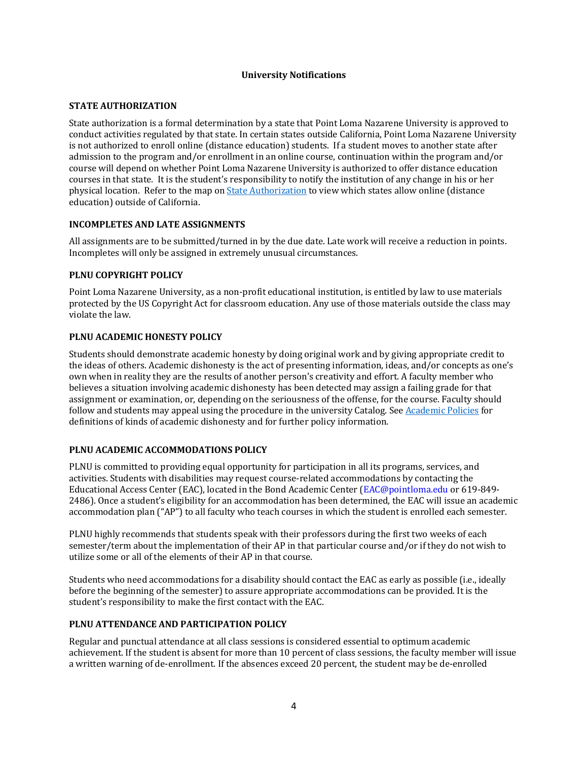#### **University Notifications**

#### **STATE AUTHORIZATION**

State authorization is a formal determination by a state that Point Loma Nazarene University is approved to conduct activities regulated by that state. In certain states outside California, Point Loma Nazarene University is not authorized to enroll online (distance education) students. If a student moves to another state after admission to the program and/or enrollment in an online course, continuation within the program and/or course will depend on whether Point Loma Nazarene University is authorized to offer distance education courses in that state. It is the student's responsibility to notify the institution of any change in his or her physical location. Refer to the map on *State Authorization* to view which states allow online (distance education) outside of California.

#### **INCOMPLETES AND LATE ASSIGNMENTS**

All assignments are to be submitted/turned in by the due date. Late work will receive a reduction in points. Incompletes will only be assigned in extremely unusual circumstances.

#### **PLNU COPYRIGHT POLICY**

Point Loma Nazarene University, as a non-profit educational institution, is entitled by law to use materials protected by the US Copyright Act for classroom education. Any use of those materials outside the class may violate the law.

#### **PLNU ACADEMIC HONESTY POLICY**

Students should demonstrate academic honesty by doing original work and by giving appropriate credit to the ideas of others. Academic dishonesty is the act of presenting information, ideas, and/or concepts as one's own when in reality they are the results of another person's creativity and effort. A faculty member who believes a situation involving academic dishonesty has been detected may assign a failing grade for that assignment or examination, or, depending on the seriousness of the offense, for the course. Faculty should follow and students may appeal using the procedure in the university Catalog. See Academic Policies for definitions of kinds of academic dishonesty and for further policy information.

#### **PLNU ACADEMIC ACCOMMODATIONS POLICY**

PLNU is committed to providing equal opportunity for participation in all its programs, services, and activities. Students with disabilities may request course-related accommodations by contacting the Educational Access Center (EAC), located in the Bond Academic Center (EAC@pointloma.edu or 619-849-2486). Once a student's eligibility for an accommodation has been determined, the EAC will issue an academic accommodation plan ("AP") to all faculty who teach courses in which the student is enrolled each semester.

PLNU highly recommends that students speak with their professors during the first two weeks of each semester/term about the implementation of their AP in that particular course and/or if they do not wish to utilize some or all of the elements of their AP in that course.

Students who need accommodations for a disability should contact the EAC as early as possible (i.e., ideally before the beginning of the semester) to assure appropriate accommodations can be provided. It is the student's responsibility to make the first contact with the EAC.

#### **PLNU ATTENDANCE AND PARTICIPATION POLICY**

Regular and punctual attendance at all class sessions is considered essential to optimum academic achievement. If the student is absent for more than 10 percent of class sessions, the faculty member will issue a written warning of de-enrollment. If the absences exceed 20 percent, the student may be de-enrolled